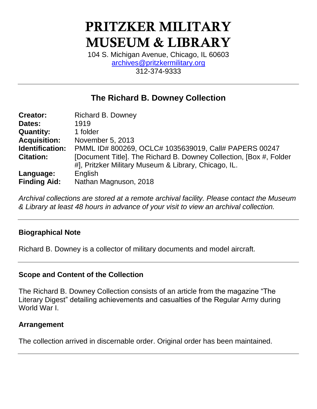# **PRITZKER MILITARY MUSEUM & LIBRARY**

104 S. Michigan Avenue, Chicago, IL 60603 [archives@pritzkermilitary.org](mailto:archives@pritzkermilitary.org) 312-374-9333

## **The Richard B. Downey Collection**

| <b>Creator:</b>     | <b>Richard B. Downey</b>                                                                                                    |  |  |  |
|---------------------|-----------------------------------------------------------------------------------------------------------------------------|--|--|--|
| Dates:              | 1919                                                                                                                        |  |  |  |
| <b>Quantity:</b>    | 1 folder                                                                                                                    |  |  |  |
| <b>Acquisition:</b> | November 5, 2013                                                                                                            |  |  |  |
| Identification:     | PMML ID# 800269, OCLC# 1035639019, Call# PAPERS 00247                                                                       |  |  |  |
| <b>Citation:</b>    | [Document Title]. The Richard B. Downey Collection, [Box #, Folder]<br>#], Pritzker Military Museum & Library, Chicago, IL. |  |  |  |
| Language:           | English                                                                                                                     |  |  |  |
| <b>Finding Aid:</b> | Nathan Magnuson, 2018                                                                                                       |  |  |  |

*Archival collections are stored at a remote archival facility. Please contact the Museum & Library at least 48 hours in advance of your visit to view an archival collection.*

## **Biographical Note**

Richard B. Downey is a collector of military documents and model aircraft.

## **Scope and Content of the Collection**

The Richard B. Downey Collection consists of an article from the magazine "The Literary Digest" detailing achievements and casualties of the Regular Army during World War I.

## **Arrangement**

The collection arrived in discernable order. Original order has been maintained.